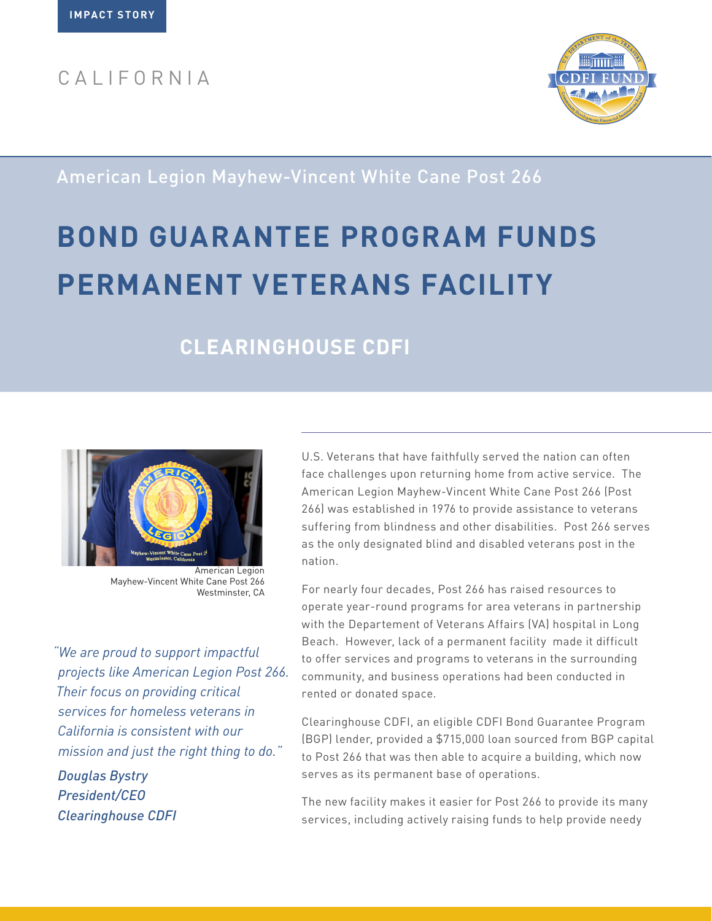## CALIFORNIA



American Legion Mayhew-Vincent White Cane Post 266

# **BOND GUARANTEE PROGRAM FUNDS PERMANENT VETERANS FACILITY**

## **CLEARINGHOUSE CDFI**



American Legion Mayhew-Vincent White Cane Post 266 Westminster, CA

*"We are proud to support impactful projects like American Legion Post 266. Their focus on providing critical services for homeless veterans in California is consistent with our mission and just the right thing to do."*

*Douglas Bystry President/CEO Clearinghouse CDFI* U.S. Veterans that have faithfully served the nation can often face challenges upon returning home from active service. The American Legion Mayhew-Vincent White Cane Post 266 (Post 266) was established in 1976 to provide assistance to veterans suffering from blindness and other disabilities. Post 266 serves as the only designated blind and disabled veterans post in the nation.

For nearly four decades, Post 266 has raised resources to operate year-round programs for area veterans in partnership with the Departement of Veterans Affairs (VA) hospital in Long Beach. However, lack of a permanent facility made it difficult to offer services and programs to veterans in the surrounding community, and business operations had been conducted in rented or donated space.

Clearinghouse CDFI, an eligible CDFI Bond Guarantee Program (BGP) lender, provided a \$715,000 loan sourced from BGP capital to Post 266 that was then able to acquire a building, which now serves as its permanent base of operations.

The new facility makes it easier for Post 266 to provide its many services, including actively raising funds to help provide needy